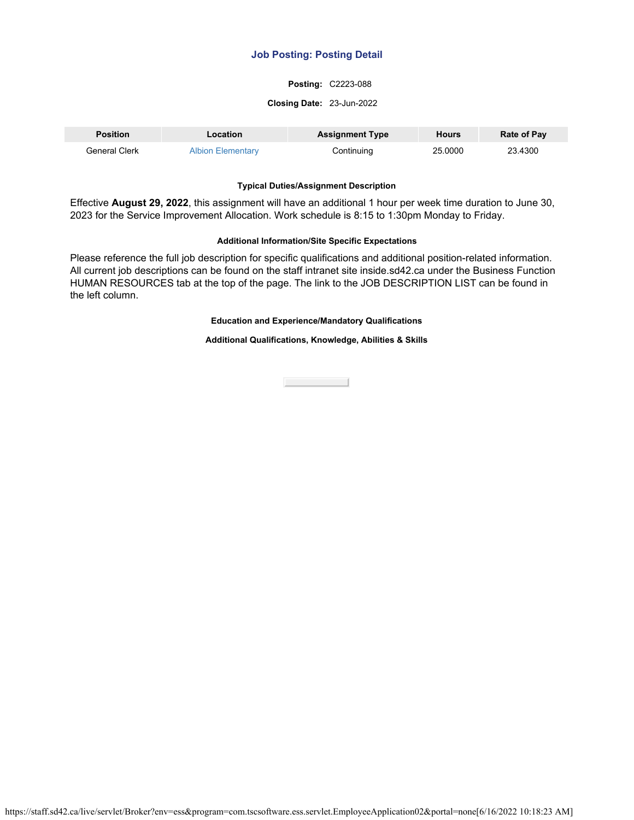# **Job Posting: Posting Detail**

## **Posting:** C2223-088

#### **Closing Date:** 23-Jun-2022

| <b>Position</b> | Location                 | <b>Assignment Type</b> | <b>Hours</b> | <b>Rate of Pay</b> |
|-----------------|--------------------------|------------------------|--------------|--------------------|
| General Clerk   | <b>Albion Elementary</b> | Continuing             | 25,0000      | 23.4300            |

#### **Typical Duties/Assignment Description**

Effective **August 29, 2022**, this assignment will have an additional 1 hour per week time duration to June 30, 2023 for the Service Improvement Allocation. Work schedule is 8:15 to 1:30pm Monday to Friday.

#### **Additional Information/Site Specific Expectations**

Please reference the full job description for specific qualifications and additional position-related information. All current job descriptions can be found on the staff intranet site inside.sd42.ca under the Business Function HUMAN RESOURCES tab at the top of the page. The link to the JOB DESCRIPTION LIST can be found in the left column.

### **Education and Experience/Mandatory Qualifications**

#### **Additional Qualifications, Knowledge, Abilities & Skills**

**Close Contract**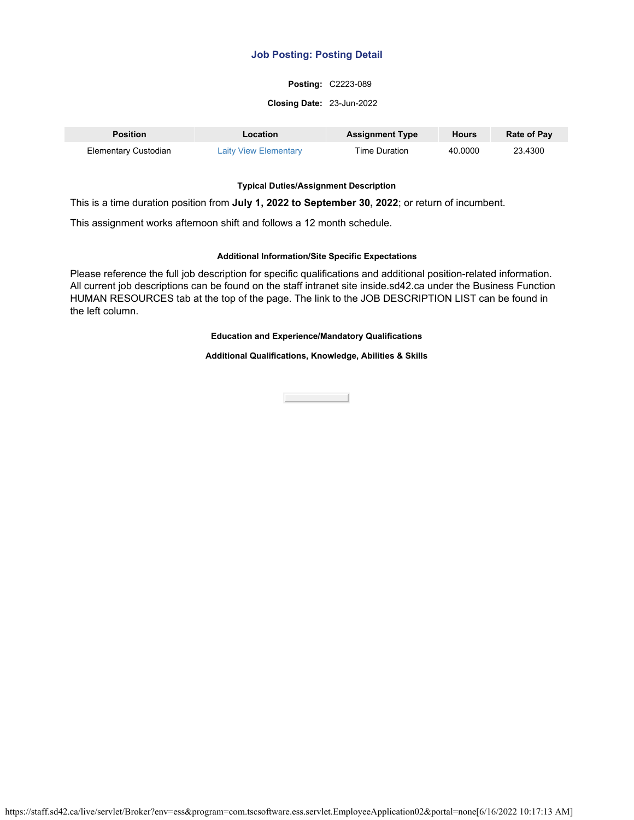# **Job Posting: Posting Detail**

#### **Posting:** C2223-089

#### **Closing Date:** 23-Jun-2022

| <b>Position</b>             | Location                     | <b>Assignment Type</b> | <b>Hours</b> | <b>Rate of Pay</b> |
|-----------------------------|------------------------------|------------------------|--------------|--------------------|
| <b>Elementary Custodian</b> | <b>Laity View Elementary</b> | Time Duration          | 40.0000      | 23.4300            |

### **Typical Duties/Assignment Description**

This is a time duration position from **July 1, 2022 to September 30, 2022**; or return of incumbent.

This assignment works afternoon shift and follows a 12 month schedule.

## **Additional Information/Site Specific Expectations**

Please reference the full job description for specific qualifications and additional position-related information. All current job descriptions can be found on the staff intranet site inside.sd42.ca under the Business Function HUMAN RESOURCES tab at the top of the page. The link to the JOB DESCRIPTION LIST can be found in the left column.

## **Education and Experience/Mandatory Qualifications**

**Additional Qualifications, Knowledge, Abilities & Skills**

Close the Close